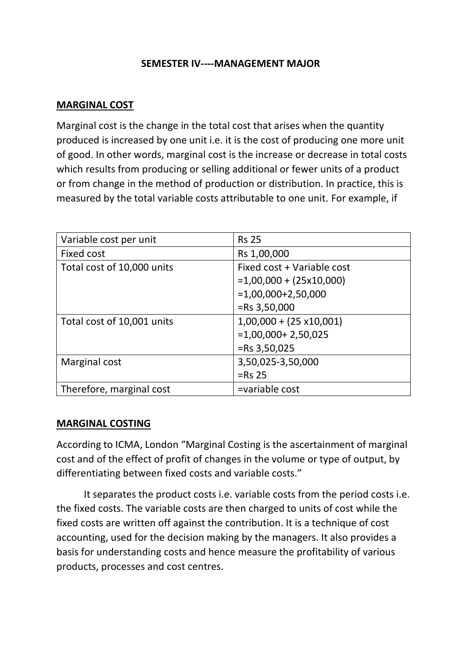#### **SEMESTER IV----MANAGEMENT MAJOR**

## **MARGINAL COST**

Marginal cost is the change in the total cost that arises when the quantity produced is increased by one unit i.e. it is the cost of producing one more unit of good. In other words, marginal cost is the increase or decrease in total costs which results from producing or selling additional or fewer units of a product or from change in the method of production or distribution. In practice, this is measured by the total variable costs attributable to one unit. For example, if

| Variable cost per unit     | <b>Rs 25</b>                    |
|----------------------------|---------------------------------|
| <b>Fixed cost</b>          | Rs 1,00,000                     |
| Total cost of 10,000 units | Fixed cost + Variable cost      |
|                            | $=1,00,000 + (25x10,000)$       |
|                            | $=1,00,000+2,50,000$            |
|                            | $=$ Rs 3,50,000                 |
| Total cost of 10,001 units | $1,00,000 + (25 \times 10,001)$ |
|                            | $=1,00,000+2,50,025$            |
|                            | $=$ Rs 3,50,025                 |
| Marginal cost              | 3,50,025-3,50,000               |
|                            | $=$ Rs 25                       |
| Therefore, marginal cost   | =variable cost                  |

#### **MARGINAL COSTING**

According to ICMA, London "Marginal Costing is the ascertainment of marginal cost and of the effect of profit of changes in the volume or type of output, by differentiating between fixed costs and variable costs."

 It separates the product costs i.e. variable costs from the period costs i.e. the fixed costs. The variable costs are then charged to units of cost while the fixed costs are written off against the contribution. It is a technique of cost accounting, used for the decision making by the managers. It also provides a basis for understanding costs and hence measure the profitability of various products, processes and cost centres.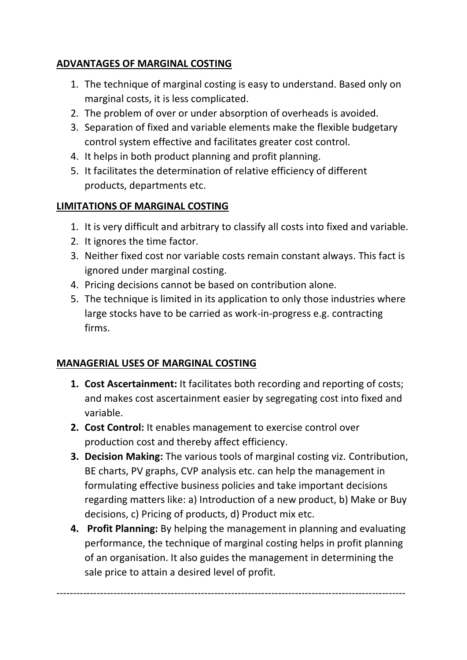# **ADVANTAGES OF MARGINAL COSTING**

- 1. The technique of marginal costing is easy to understand. Based only on marginal costs, it is less complicated.
- 2. The problem of over or under absorption of overheads is avoided.
- 3. Separation of fixed and variable elements make the flexible budgetary control system effective and facilitates greater cost control.
- 4. It helps in both product planning and profit planning.
- 5. It facilitates the determination of relative efficiency of different products, departments etc.

# **LIMITATIONS OF MARGINAL COSTING**

- 1. It is very difficult and arbitrary to classify all costs into fixed and variable.
- 2. It ignores the time factor.
- 3. Neither fixed cost nor variable costs remain constant always. This fact is ignored under marginal costing.
- 4. Pricing decisions cannot be based on contribution alone.
- 5. The technique is limited in its application to only those industries where large stocks have to be carried as work-in-progress e.g. contracting firms.

# **MANAGERIAL USES OF MARGINAL COSTING**

- **1. Cost Ascertainment:** It facilitates both recording and reporting of costs; and makes cost ascertainment easier by segregating cost into fixed and variable.
- **2. Cost Control:** It enables management to exercise control over production cost and thereby affect efficiency.
- **3. Decision Making:** The various tools of marginal costing viz. Contribution, BE charts, PV graphs, CVP analysis etc. can help the management in formulating effective business policies and take important decisions regarding matters like: a) Introduction of a new product, b) Make or Buy decisions, c) Pricing of products, d) Product mix etc.
- **4. Profit Planning:** By helping the management in planning and evaluating performance, the technique of marginal costing helps in profit planning of an organisation. It also guides the management in determining the sale price to attain a desired level of profit.

--------------------------------------------------------------------------------------------------------